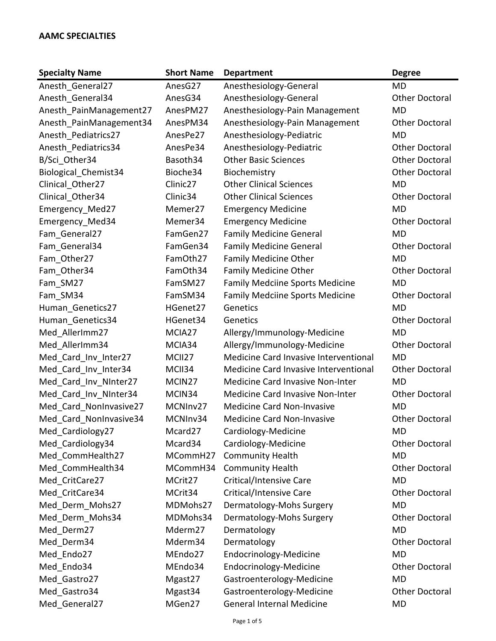| <b>Specialty Name</b>   | <b>Short Name</b>    | <b>Department</b>                      | <b>Degree</b>         |
|-------------------------|----------------------|----------------------------------------|-----------------------|
| Anesth_General27        | AnesG27              | Anesthesiology-General                 | MD                    |
| Anesth General34        | AnesG34              | Anesthesiology-General                 | <b>Other Doctoral</b> |
| Anesth_PainManagement27 | AnesPM27             | Anesthesiology-Pain Management         | <b>MD</b>             |
| Anesth PainManagement34 | AnesPM34             | Anesthesiology-Pain Management         | <b>Other Doctoral</b> |
| Anesth Pediatrics27     | AnesPe27             | Anesthesiology-Pediatric               | <b>MD</b>             |
| Anesth Pediatrics34     | AnesPe34             | Anesthesiology-Pediatric               | <b>Other Doctoral</b> |
| B/Sci Other34           | Basoth34             | <b>Other Basic Sciences</b>            | <b>Other Doctoral</b> |
| Biological_Chemist34    | Bioche34             | Biochemistry                           | <b>Other Doctoral</b> |
| Clinical Other27        | Clinic <sub>27</sub> | <b>Other Clinical Sciences</b>         | <b>MD</b>             |
| Clinical Other34        | Clinic34             | <b>Other Clinical Sciences</b>         | <b>Other Doctoral</b> |
| Emergency Med27         | Memer27              | <b>Emergency Medicine</b>              | MD                    |
| Emergency_Med34         | Memer34              | <b>Emergency Medicine</b>              | <b>Other Doctoral</b> |
| Fam General27           | FamGen27             | <b>Family Medicine General</b>         | <b>MD</b>             |
| Fam General34           | FamGen34             | <b>Family Medicine General</b>         | <b>Other Doctoral</b> |
| Fam Other27             | FamOth27             | <b>Family Medicine Other</b>           | <b>MD</b>             |
| Fam_Other34             | FamOth34             | <b>Family Medicine Other</b>           | <b>Other Doctoral</b> |
| Fam SM27                | FamSM27              | <b>Family Medciine Sports Medicine</b> | <b>MD</b>             |
| Fam SM34                | FamSM34              | <b>Family Medciine Sports Medicine</b> | <b>Other Doctoral</b> |
| Human_Genetics27        | HGenet27             | Genetics                               | <b>MD</b>             |
| Human Genetics34        | HGenet34             | Genetics                               | <b>Other Doctoral</b> |
| Med AllerImm27          | MCIA27               | Allergy/Immunology-Medicine            | <b>MD</b>             |
| Med_AllerImm34          | MCIA34               | Allergy/Immunology-Medicine            | <b>Other Doctoral</b> |
| Med_Card_Inv_Inter27    | MCII27               | Medicine Card Invasive Interventional  | <b>MD</b>             |
| Med_Card_Inv_Inter34    | MCII34               | Medicine Card Invasive Interventional  | <b>Other Doctoral</b> |
| Med_Card_Inv_NInter27   | MCIN <sub>27</sub>   | Medicine Card Invasive Non-Inter       | <b>MD</b>             |
| Med_Card_Inv_NInter34   | MCIN34               | Medicine Card Invasive Non-Inter       | <b>Other Doctoral</b> |
| Med Card NonInvasive27  | MCNInv27             | <b>Medicine Card Non-Invasive</b>      | <b>MD</b>             |
| Med Card NonInvasive34  | MCNInv34             | Medicine Card Non-Invasive             | <b>Other Doctoral</b> |
| Med Cardiology27        | Mcard27              | Cardiology-Medicine                    | <b>MD</b>             |
| Med_Cardiology34        | Mcard34              | Cardiology-Medicine                    | <b>Other Doctoral</b> |
| Med CommHealth27        | MCommH27             | <b>Community Health</b>                | <b>MD</b>             |
| Med CommHealth34        | MCommH34             | <b>Community Health</b>                | <b>Other Doctoral</b> |
| Med CritCare27          | MCrit27              | Critical/Intensive Care                | <b>MD</b>             |
| Med CritCare34          | MCrit34              | Critical/Intensive Care                | <b>Other Doctoral</b> |
| Med Derm Mohs27         | MDMohs27             | Dermatology-Mohs Surgery               | <b>MD</b>             |
| Med_Derm_Mohs34         | MDMohs34             | Dermatology-Mohs Surgery               | <b>Other Doctoral</b> |
| Med Derm27              | Mderm27              | Dermatology                            | <b>MD</b>             |
| Med Derm34              | Mderm34              | Dermatology                            | <b>Other Doctoral</b> |
| Med_Endo27              | MEndo27              | Endocrinology-Medicine                 | <b>MD</b>             |
| Med_Endo34              | MEndo34              | Endocrinology-Medicine                 | <b>Other Doctoral</b> |
| Med_Gastro27            | Mgast27              | Gastroenterology-Medicine              | <b>MD</b>             |
| Med Gastro34            | Mgast34              | Gastroenterology-Medicine              | <b>Other Doctoral</b> |
| Med General27           | MGen27               | <b>General Internal Medicine</b>       | <b>MD</b>             |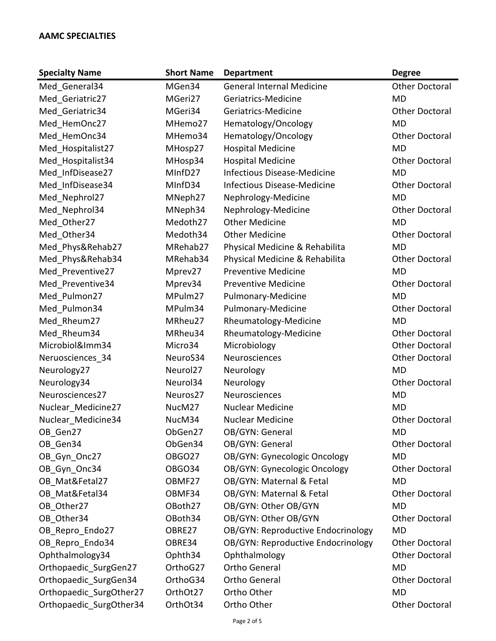| <b>Specialty Name</b>   | <b>Short Name</b>    | <b>Department</b>                  | <b>Degree</b>         |
|-------------------------|----------------------|------------------------------------|-----------------------|
| Med General34           | MGen34               | <b>General Internal Medicine</b>   | <b>Other Doctoral</b> |
| Med Geriatric27         | MGeri27              | Geriatrics-Medicine                | <b>MD</b>             |
| Med Geriatric34         | MGeri34              | Geriatrics-Medicine                | <b>Other Doctoral</b> |
| Med HemOnc27            | MHemo27              | Hematology/Oncology                | <b>MD</b>             |
| Med HemOnc34            | MHemo34              | Hematology/Oncology                | <b>Other Doctoral</b> |
| Med Hospitalist27       | MHosp27              | <b>Hospital Medicine</b>           | <b>MD</b>             |
| Med_Hospitalist34       | MHosp34              | <b>Hospital Medicine</b>           | <b>Other Doctoral</b> |
| Med InfDisease27        | MInfD27              | <b>Infectious Disease-Medicine</b> | <b>MD</b>             |
| Med InfDisease34        | MInfD34              | <b>Infectious Disease-Medicine</b> | <b>Other Doctoral</b> |
| Med_Nephrol27           | MNeph27              | Nephrology-Medicine                | <b>MD</b>             |
| Med Nephrol34           | MNeph34              | Nephrology-Medicine                | <b>Other Doctoral</b> |
| Med_Other27             | Medoth27             | <b>Other Medicine</b>              | <b>MD</b>             |
| Med Other34             | Medoth34             | <b>Other Medicine</b>              | <b>Other Doctoral</b> |
| Med Phys&Rehab27        | MRehab27             | Physical Medicine & Rehabilita     | <b>MD</b>             |
| Med_Phys&Rehab34        | MRehab34             | Physical Medicine & Rehabilita     | <b>Other Doctoral</b> |
| Med Preventive27        | Mprev27              | <b>Preventive Medicine</b>         | <b>MD</b>             |
| Med Preventive34        | Mprev34              | <b>Preventive Medicine</b>         | <b>Other Doctoral</b> |
| Med Pulmon27            | MPulm27              | Pulmonary-Medicine                 | <b>MD</b>             |
| Med Pulmon34            | MPulm34              | Pulmonary-Medicine                 | <b>Other Doctoral</b> |
| Med_Rheum27             | MRheu27              | Rheumatology-Medicine              | <b>MD</b>             |
| Med Rheum34             | MRheu34              | Rheumatology-Medicine              | <b>Other Doctoral</b> |
| Microbiol&Imm34         | Micro34              | Microbiology                       | <b>Other Doctoral</b> |
| Neruosciences_34        | NeuroS34             | Neurosciences                      | <b>Other Doctoral</b> |
| Neurology27             | Neurol <sub>27</sub> | Neurology                          | <b>MD</b>             |
| Neurology34             | Neurol34             | Neurology                          | <b>Other Doctoral</b> |
| Neurosciences27         | Neuros27             | Neurosciences                      | <b>MD</b>             |
| Nuclear Medicine27      | NucM27               | <b>Nuclear Medicine</b>            | <b>MD</b>             |
| Nuclear Medicine34      | NucM34               | <b>Nuclear Medicine</b>            | <b>Other Doctoral</b> |
| OB_Gen27                | ObGen27              | OB/GYN: General                    | MD                    |
| OB Gen34                | ObGen34              | OB/GYN: General                    | <b>Other Doctoral</b> |
| OB Gyn Onc27            | <b>OBGO27</b>        | OB/GYN: Gynecologic Oncology       | <b>MD</b>             |
| OB Gyn Onc34            | OBGO34               | OB/GYN: Gynecologic Oncology       | <b>Other Doctoral</b> |
| OB Mat&Fetal27          | OBMF27               | OB/GYN: Maternal & Fetal           | <b>MD</b>             |
| OB Mat&Fetal34          | OBMF34               | OB/GYN: Maternal & Fetal           | <b>Other Doctoral</b> |
| OB Other27              | OBoth27              | OB/GYN: Other OB/GYN               | <b>MD</b>             |
| OB Other34              | OBoth34              | OB/GYN: Other OB/GYN               | <b>Other Doctoral</b> |
| OB_Repro_Endo27         | OBRE27               | OB/GYN: Reproductive Endocrinology | <b>MD</b>             |
| OB Repro Endo34         | OBRE34               | OB/GYN: Reproductive Endocrinology | <b>Other Doctoral</b> |
| Ophthalmology34         | Ophth34              | Ophthalmology                      | <b>Other Doctoral</b> |
| Orthopaedic_SurgGen27   | OrthoG27             | <b>Ortho General</b>               | <b>MD</b>             |
| Orthopaedic SurgGen34   | OrthoG34             | <b>Ortho General</b>               | <b>Other Doctoral</b> |
| Orthopaedic SurgOther27 | OrthOt27             | Ortho Other                        | <b>MD</b>             |
| Orthopaedic SurgOther34 | OrthOt34             | Ortho Other                        | <b>Other Doctoral</b> |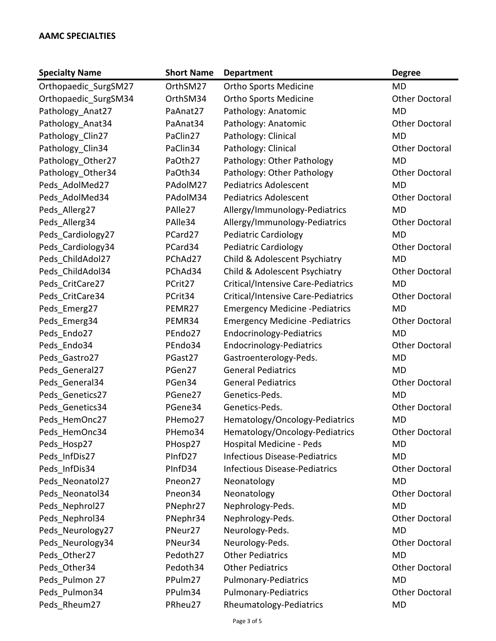| <b>Specialty Name</b> | <b>Short Name</b>   | <b>Department</b>                     | <b>Degree</b>         |
|-----------------------|---------------------|---------------------------------------|-----------------------|
| Orthopaedic_SurgSM27  | OrthSM27            | <b>Ortho Sports Medicine</b>          | <b>MD</b>             |
| Orthopaedic_SurgSM34  | OrthSM34            | <b>Ortho Sports Medicine</b>          | <b>Other Doctoral</b> |
| Pathology Anat27      | PaAnat27            | Pathology: Anatomic                   | <b>MD</b>             |
| Pathology Anat34      | PaAnat34            | Pathology: Anatomic                   | <b>Other Doctoral</b> |
| Pathology_Clin27      | PaClin27            | Pathology: Clinical                   | <b>MD</b>             |
| Pathology Clin34      | PaClin34            | Pathology: Clinical                   | <b>Other Doctoral</b> |
| Pathology_Other27     | PaOth27             | Pathology: Other Pathology            | <b>MD</b>             |
| Pathology_Other34     | PaOth34             | Pathology: Other Pathology            | <b>Other Doctoral</b> |
| Peds AdolMed27        | PAdolM27            | <b>Pediatrics Adolescent</b>          | <b>MD</b>             |
| Peds AdolMed34        | PAdolM34            | <b>Pediatrics Adolescent</b>          | <b>Other Doctoral</b> |
| Peds Allerg27         | PAlle27             | Allergy/Immunology-Pediatrics         | <b>MD</b>             |
| Peds_Allerg34         | PAlle34             | Allergy/Immunology-Pediatrics         | <b>Other Doctoral</b> |
| Peds_Cardiology27     | PCard27             | <b>Pediatric Cardiology</b>           | <b>MD</b>             |
| Peds Cardiology34     | PCard34             | <b>Pediatric Cardiology</b>           | <b>Other Doctoral</b> |
| Peds_ChildAdol27      | PChAd27             | Child & Adolescent Psychiatry         | <b>MD</b>             |
| Peds ChildAdol34      | PChAd34             | Child & Adolescent Psychiatry         | <b>Other Doctoral</b> |
| Peds CritCare27       | PCrit27             | Critical/Intensive Care-Pediatrics    | <b>MD</b>             |
| Peds_CritCare34       | PCrit34             | Critical/Intensive Care-Pediatrics    | <b>Other Doctoral</b> |
| Peds Emerg27          | PEMR27              | <b>Emergency Medicine -Pediatrics</b> | <b>MD</b>             |
| Peds_Emerg34          | PEMR34              | <b>Emergency Medicine -Pediatrics</b> | <b>Other Doctoral</b> |
| Peds_Endo27           | PEndo27             | <b>Endocrinology-Pediatrics</b>       | <b>MD</b>             |
| Peds_Endo34           | PEndo34             | <b>Endocrinology-Pediatrics</b>       | <b>Other Doctoral</b> |
| Peds Gastro27         | PGast27             | Gastroenterology-Peds.                | <b>MD</b>             |
| Peds_General27        | PGen27              | <b>General Pediatrics</b>             | <b>MD</b>             |
| Peds General34        | PGen34              | <b>General Pediatrics</b>             | <b>Other Doctoral</b> |
| Peds Genetics27       | PGene27             | Genetics-Peds.                        | <b>MD</b>             |
| Peds_Genetics34       | PGene34             | Genetics-Peds.                        | <b>Other Doctoral</b> |
| Peds_HemOnc27         | PHemo27             | Hematology/Oncology-Pediatrics        | <b>MD</b>             |
| Peds HemOnc34         | PHemo34             | Hematology/Oncology-Pediatrics        | <b>Other Doctoral</b> |
| Peds Hosp27           | PHosp27             | <b>Hospital Medicine - Peds</b>       | <b>MD</b>             |
| Peds InfDis27         | PInfD <sub>27</sub> | <b>Infectious Disease-Pediatrics</b>  | <b>MD</b>             |
| Peds InfDis34         | PInfD34             | <b>Infectious Disease-Pediatrics</b>  | <b>Other Doctoral</b> |
| Peds Neonatol27       | Pneon27             | Neonatology                           | <b>MD</b>             |
| Peds Neonatol34       | Pneon34             | Neonatology                           | <b>Other Doctoral</b> |
| Peds Nephrol27        | PNephr27            | Nephrology-Peds.                      | <b>MD</b>             |
| Peds Nephrol34        | PNephr34            | Nephrology-Peds.                      | <b>Other Doctoral</b> |
| Peds_Neurology27      | PNeur27             | Neurology-Peds.                       | <b>MD</b>             |
| Peds_Neurology34      | PNeur34             | Neurology-Peds.                       | <b>Other Doctoral</b> |
| Peds Other27          | Pedoth27            | <b>Other Pediatrics</b>               | <b>MD</b>             |
| Peds Other34          | Pedoth34            | <b>Other Pediatrics</b>               | <b>Other Doctoral</b> |
| Peds Pulmon 27        | PPulm27             | <b>Pulmonary-Pediatrics</b>           | <b>MD</b>             |
| Peds Pulmon34         | PPulm34             | <b>Pulmonary-Pediatrics</b>           | <b>Other Doctoral</b> |
| Peds Rheum27          | PRheu27             | Rheumatology-Pediatrics               | <b>MD</b>             |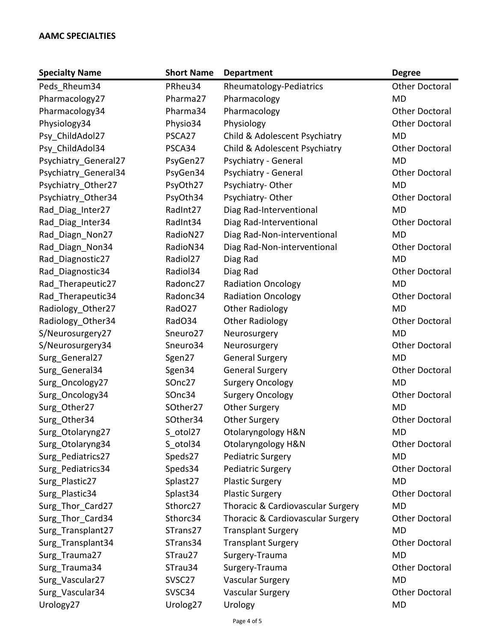| <b>Specialty Name</b> | <b>Short Name</b>    | <b>Department</b>                 | <b>Degree</b>         |
|-----------------------|----------------------|-----------------------------------|-----------------------|
| Peds_Rheum34          | PRheu34              | Rheumatology-Pediatrics           | <b>Other Doctoral</b> |
| Pharmacology27        | Pharma27             | Pharmacology                      | <b>MD</b>             |
| Pharmacology34        | Pharma34             | Pharmacology                      | <b>Other Doctoral</b> |
| Physiology34          | Physio34             | Physiology                        | <b>Other Doctoral</b> |
| Psy_ChildAdol27       | PSCA27               | Child & Adolescent Psychiatry     | <b>MD</b>             |
| Psy ChildAdol34       | PSCA34               | Child & Adolescent Psychiatry     | <b>Other Doctoral</b> |
| Psychiatry General27  | PsyGen27             | Psychiatry - General              | <b>MD</b>             |
| Psychiatry_General34  | PsyGen34             | Psychiatry - General              | <b>Other Doctoral</b> |
| Psychiatry_Other27    | PsyOth27             | Psychiatry-Other                  | <b>MD</b>             |
| Psychiatry_Other34    | PsyOth34             | Psychiatry-Other                  | <b>Other Doctoral</b> |
| Rad_Diag_Inter27      | RadInt27             | Diag Rad-Interventional           | <b>MD</b>             |
| Rad_Diag_Inter34      | RadInt34             | Diag Rad-Interventional           | <b>Other Doctoral</b> |
| Rad_Diagn_Non27       | RadioN27             | Diag Rad-Non-interventional       | <b>MD</b>             |
| Rad Diagn Non34       | RadioN34             | Diag Rad-Non-interventional       | <b>Other Doctoral</b> |
| Rad_Diagnostic27      | Radiol27             | Diag Rad                          | <b>MD</b>             |
| Rad_Diagnostic34      | Radiol34             | Diag Rad                          | <b>Other Doctoral</b> |
| Rad_Therapeutic27     | Radonc27             | <b>Radiation Oncology</b>         | <b>MD</b>             |
| Rad_Therapeutic34     | Radonc34             | <b>Radiation Oncology</b>         | <b>Other Doctoral</b> |
| Radiology_Other27     | RadO27               | <b>Other Radiology</b>            | <b>MD</b>             |
| Radiology Other34     | RadO34               | <b>Other Radiology</b>            | <b>Other Doctoral</b> |
| S/Neurosurgery27      | Sneuro27             | Neurosurgery                      | <b>MD</b>             |
| S/Neurosurgery34      | Sneuro34             | Neurosurgery                      | <b>Other Doctoral</b> |
| Surg_General27        | Sgen27               | <b>General Surgery</b>            | <b>MD</b>             |
| Surg_General34        | Sgen34               | <b>General Surgery</b>            | <b>Other Doctoral</b> |
| Surg Oncology27       | SOnc27               | <b>Surgery Oncology</b>           | <b>MD</b>             |
| Surg Oncology34       | SOnc34               | <b>Surgery Oncology</b>           | <b>Other Doctoral</b> |
| Surg_Other27          | SOther27             | <b>Other Surgery</b>              | <b>MD</b>             |
| Surg_Other34          | SOther34             | <b>Other Surgery</b>              | <b>Other Doctoral</b> |
| Surg_Otolaryng27      | S otol27             | Otolaryngology H&N                | MD                    |
| Surg_Otolaryng34      | S otol34             | Otolaryngology H&N                | <b>Other Doctoral</b> |
| Surg_Pediatrics27     | Speds27              | Pediatric Surgery                 | <b>MD</b>             |
| Surg_Pediatrics34     | Speds34              | Pediatric Surgery                 | <b>Other Doctoral</b> |
| Surg Plastic27        | Splast27             | <b>Plastic Surgery</b>            | <b>MD</b>             |
| Surg Plastic34        | Splast34             | <b>Plastic Surgery</b>            | <b>Other Doctoral</b> |
| Surg_Thor_Card27      | Sthorc27             | Thoracic & Cardiovascular Surgery | <b>MD</b>             |
| Surg Thor Card34      | Sthorc34             | Thoracic & Cardiovascular Surgery | <b>Other Doctoral</b> |
| Surg_Transplant27     | STrans27             | <b>Transplant Surgery</b>         | <b>MD</b>             |
| Surg_Transplant34     | STrans34             | <b>Transplant Surgery</b>         | <b>Other Doctoral</b> |
| Surg_Trauma27         | STrau27              | Surgery-Trauma                    | <b>MD</b>             |
| Surg_Trauma34         | STrau34              | Surgery-Trauma                    | <b>Other Doctoral</b> |
| Surg_Vascular27       | SVSC <sub>27</sub>   | <b>Vascular Surgery</b>           | <b>MD</b>             |
| Surg Vascular34       | SVSC34               | <b>Vascular Surgery</b>           | <b>Other Doctoral</b> |
| Urology27             | Urolog <sub>27</sub> | Urology                           | <b>MD</b>             |